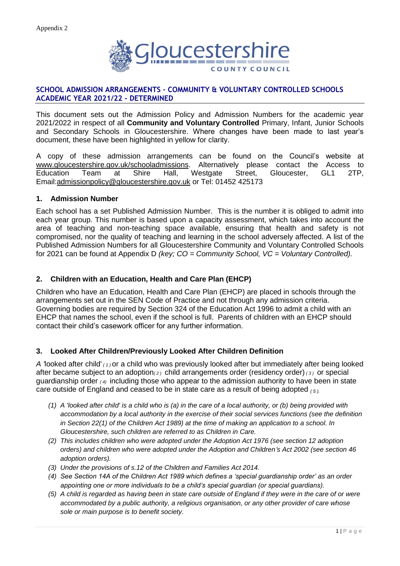

### **SCHOOL ADMISSION ARRANGEMENTS – COMMUNITY & VOLUNTARY CONTROLLED SCHOOLS ACADEMIC YEAR 2021/22 - DETERMINED**

This document sets out the Admission Policy and Admission Numbers for the academic year 2021/2022 in respect of all **Community and Voluntary Controlled** Primary, Infant, Junior Schools and Secondary Schools in Gloucestershire. Where changes have been made to last year's document, these have been highlighted in yellow for clarity.

A copy of these admission arrangements can be found on the Council's website at [www.gloucestershire.gov.uk/schooladmissions.](http://www.gloucestershire.gov.uk/schooladmissions) Alternatively please contact the Access to Education Team at Shire Hall, Westgate Street, Gloucester, GL1 2TP, Email[:admissionpolicy@gloucestershire.gov.uk](mailto:admissionpolicy@gloucestershire.gov.uk) or Tel: 01452 425173

#### **1. Admission Number**

Each school has a set Published Admission Number. This is the number it is obliged to admit into each year group. This number is based upon a capacity assessment, which takes into account the area of teaching and non-teaching space available, ensuring that health and safety is not compromised, nor the quality of teaching and learning in the school adversely affected. A list of the Published Admission Numbers for all Gloucestershire Community and Voluntary Controlled Schools for 2021 can be found at Appendix D *(key; CO = Community School, VC = Voluntary Controlled).*

### **2. Children with an Education, Health and Care Plan (EHCP)**

Children who have an Education, Health and Care Plan (EHCP) are placed in schools through the arrangements set out in the SEN Code of Practice and not through any admission criteria. Governing bodies are required by Section 324 of the Education Act 1996 to admit a child with an EHCP that names the school, even if the school is full. Parents of children with an EHCP should contact their child's casework officer for any further information.

## **3. Looked After Children/Previously Looked After Children Definition**

*A '*looked after child' *( 1 )* or a child who was previously looked after but immediately after being looked after became subject to an adoption*( 2 )* child arrangements order (residency order) *( 3 )* or special guardianship order *( 4)* including those who appear to the admission authority to have been in state care outside of England and ceased to be in state care as a result of being adopted *( 5 ).*

- *(1) A 'looked after child' is a child who is (a) in the care of a local authority, or (b) being provided with accommodation by a local authority in the exercise of their social services functions (see the definition in Section 22(1) of the Children Act 1989) at the time of making an application to a school. In Gloucestershire, such children are referred to as Children in Care.*
- *(2) This includes children who were adopted under the Adoption Act 1976 (see section 12 adoption orders) and children who were adopted under the Adoption and Children's Act 2002 (see section 46 adoption orders).*
- *(3) Under the provisions of s.12 of the Children and Families Act 2014.*
- *(4) See Section 14A of the Children Act 1989 which defines a 'special guardianship order' as an order appointing one or more individuals to be a child's special guardian (or special guardians).*
- *(5) A child is regarded as having been in state care outside of England if they were in the care of or were accommodated by a public authority, a religious organisation, or any other provider of care whose sole or main purpose is to benefit society.*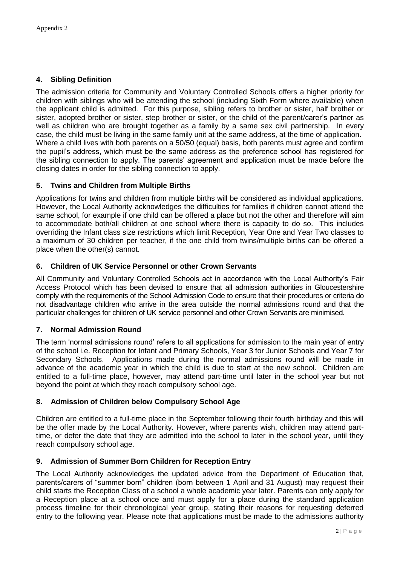## **4. Sibling Definition**

The admission criteria for Community and Voluntary Controlled Schools offers a higher priority for children with siblings who will be attending the school (including Sixth Form where available) when the applicant child is admitted. For this purpose, sibling refers to brother or sister, half brother or sister, adopted brother or sister, step brother or sister, or the child of the parent/carer's partner as well as children who are brought together as a family by a same sex civil partnership. In every case, the child must be living in the same family unit at the same address, at the time of application. Where a child lives with both parents on a 50/50 (equal) basis, both parents must agree and confirm the pupil's address, which must be the same address as the preference school has registered for the sibling connection to apply. The parents' agreement and application must be made before the closing dates in order for the sibling connection to apply.

## **5. Twins and Children from Multiple Births**

Applications for twins and children from multiple births will be considered as individual applications. However, the Local Authority acknowledges the difficulties for families if children cannot attend the same school, for example if one child can be offered a place but not the other and therefore will aim to accommodate both/all children at one school where there is capacity to do so. This includes overriding the Infant class size restrictions which limit Reception, Year One and Year Two classes to a maximum of 30 children per teacher, if the one child from twins/multiple births can be offered a place when the other(s) cannot.

## **6. Children of UK Service Personnel or other Crown Servants**

All Community and Voluntary Controlled Schools act in accordance with the Local Authority's Fair Access Protocol which has been devised to ensure that all admission authorities in Gloucestershire comply with the requirements of the School Admission Code to ensure that their procedures or criteria do not disadvantage children who arrive in the area outside the normal admissions round and that the particular challenges for children of UK service personnel and other Crown Servants are minimised.

## **7. Normal Admission Round**

The term 'normal admissions round' refers to all applications for admission to the main year of entry of the school i.e. Reception for Infant and Primary Schools, Year 3 for Junior Schools and Year 7 for Secondary Schools. Applications made during the normal admissions round will be made in advance of the academic year in which the child is due to start at the new school. Children are entitled to a full-time place, however, may attend part-time until later in the school year but not beyond the point at which they reach compulsory school age.

## **8. Admission of Children below Compulsory School Age**

Children are entitled to a full-time place in the September following their fourth birthday and this will be the offer made by the Local Authority. However, where parents wish, children may attend parttime, or defer the date that they are admitted into the school to later in the school year, until they reach compulsory school age.

## **9. Admission of Summer Born Children for Reception Entry**

The Local Authority acknowledges the updated advice from the Department of Education that, parents/carers of "summer born" children (born between 1 April and 31 August) may request their child starts the Reception Class of a school a whole academic year later. Parents can only apply for a Reception place at a school once and must apply for a place during the standard application process timeline for their chronological year group, stating their reasons for requesting deferred entry to the following year. Please note that applications must be made to the admissions authority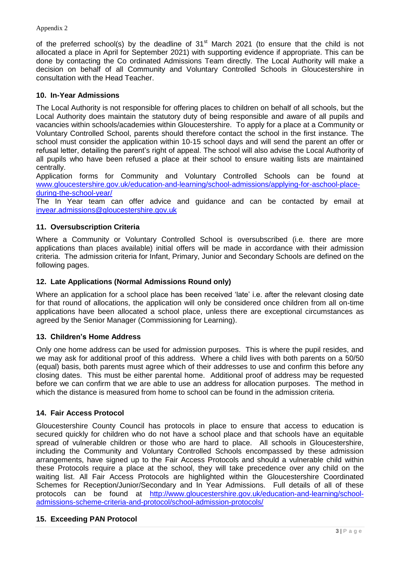of the preferred school(s) by the deadline of  $31<sup>st</sup>$  March 2021 (to ensure that the child is not allocated a place in April for September 2021) with supporting evidence if appropriate. This can be done by contacting the Co ordinated Admissions Team directly. The Local Authority will make a decision on behalf of all Community and Voluntary Controlled Schools in Gloucestershire in consultation with the Head Teacher.

## **10. In-Year Admissions**

The Local Authority is not responsible for offering places to children on behalf of all schools, but the Local Authority does maintain the statutory duty of being responsible and aware of all pupils and vacancies within schools/academies within Gloucestershire. To apply for a place at a Community or Voluntary Controlled School, parents should therefore contact the school in the first instance. The school must consider the application within 10-15 school days and will send the parent an offer or refusal letter, detailing the parent's right of appeal. The school will also advise the Local Authority of all pupils who have been refused a place at their school to ensure waiting lists are maintained centrally.

Application forms for Community and Voluntary Controlled Schools can be found at [www.gloucestershire.gov.uk/education-and-learning/school-admissions/applying-for-aschool-place](http://www.gloucestershire.gov.uk/education-and-learning/school-admissions/applying-for-aschool-place-during-the-school-year/)[during-the-school-year/](http://www.gloucestershire.gov.uk/education-and-learning/school-admissions/applying-for-aschool-place-during-the-school-year/)

The In Year team can offer advice and guidance and can be contacted by email at [inyear.admissions@gloucestershire.gov.uk](mailto:inyear.admissions@gloucestershire.gov.uk)

## **11. Oversubscription Criteria**

Where a Community or Voluntary Controlled School is oversubscribed (i.e. there are more applications than places available) initial offers will be made in accordance with their admission criteria. The admission criteria for Infant, Primary, Junior and Secondary Schools are defined on the following pages.

## **12. Late Applications (Normal Admissions Round only)**

Where an application for a school place has been received 'late' i.e. after the relevant closing date for that round of allocations, the application will only be considered once children from all on-time applications have been allocated a school place, unless there are exceptional circumstances as agreed by the Senior Manager (Commissioning for Learning).

## **13. Children's Home Address**

Only one home address can be used for admission purposes. This is where the pupil resides, and we may ask for additional proof of this address. Where a child lives with both parents on a 50/50 (equal) basis, both parents must agree which of their addresses to use and confirm this before any closing dates. This must be either parental home. Additional proof of address may be requested before we can confirm that we are able to use an address for allocation purposes. The method in which the distance is measured from home to school can be found in the admission criteria.

## **14. Fair Access Protocol**

Gloucestershire County Council has protocols in place to ensure that access to education is secured quickly for children who do not have a school place and that schools have an equitable spread of vulnerable children or those who are hard to place. All schools in Gloucestershire, including the Community and Voluntary Controlled Schools encompassed by these admission arrangements, have signed up to the Fair Access Protocols and should a vulnerable child within these Protocols require a place at the school, they will take precedence over any child on the waiting list. All Fair Access Protocols are highlighted within the Gloucestershire Coordinated Schemes for Reception/Junior/Secondary and In Year Admissions. Full details of all of these protocols can be found at [http://www.gloucestershire.gov.uk/education-and-learning/school](http://www.gloucestershire.gov.uk/education-and-learning/school-admissions-scheme-criteria-and-protocol/school-admission-protocols/)[admissions-scheme-criteria-and-protocol/school-admission-protocols/](http://www.gloucestershire.gov.uk/education-and-learning/school-admissions-scheme-criteria-and-protocol/school-admission-protocols/)

## **15. Exceeding PAN Protocol**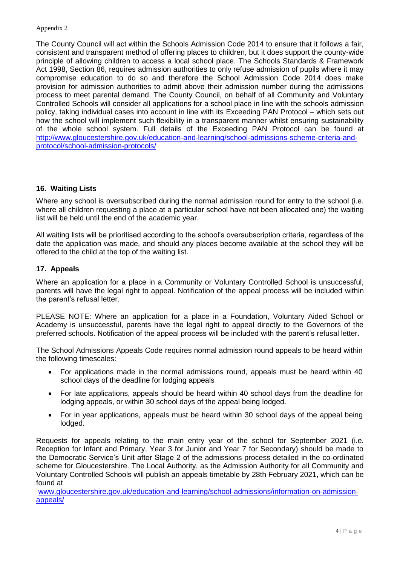#### Appendix 2

The County Council will act within the Schools Admission Code 2014 to ensure that it follows a fair, consistent and transparent method of offering places to children, but it does support the county-wide principle of allowing children to access a local school place. The Schools Standards & Framework Act 1998, Section 86, requires admission authorities to only refuse admission of pupils where it may compromise education to do so and therefore the School Admission Code 2014 does make provision for admission authorities to admit above their admission number during the admissions process to meet parental demand. The County Council, on behalf of all Community and Voluntary Controlled Schools will consider all applications for a school place in line with the schools admission policy, taking individual cases into account in line with its Exceeding PAN Protocol – which sets out how the school will implement such flexibility in a transparent manner whilst ensuring sustainability of the whole school system. Full details of the Exceeding PAN Protocol can be found at [http://www.gloucestershire.gov.uk/education-and-learning/school-admissions-scheme-criteria-and](http://www.gloucestershire.gov.uk/education-and-learning/school-admissions-scheme-criteria-and-protocol/school-admission-protocols/)[protocol/school-admission-protocols/](http://www.gloucestershire.gov.uk/education-and-learning/school-admissions-scheme-criteria-and-protocol/school-admission-protocols/)

## **16. Waiting Lists**

Where any school is oversubscribed during the normal admission round for entry to the school (i.e. where all children requesting a place at a particular school have not been allocated one) the waiting list will be held until the end of the academic year.

All waiting lists will be prioritised according to the school's oversubscription criteria, regardless of the date the application was made, and should any places become available at the school they will be offered to the child at the top of the waiting list.

## **17. Appeals**

Where an application for a place in a Community or Voluntary Controlled School is unsuccessful, parents will have the legal right to appeal. Notification of the appeal process will be included within the parent's refusal letter.

PLEASE NOTE: Where an application for a place in a Foundation, Voluntary Aided School or Academy is unsuccessful, parents have the legal right to appeal directly to the Governors of the preferred schools. Notification of the appeal process will be included with the parent's refusal letter.

The School Admissions Appeals Code requires normal admission round appeals to be heard within the following timescales:

- For applications made in the normal admissions round, appeals must be heard within 40 school days of the deadline for lodging appeals
- For late applications, appeals should be heard within 40 school days from the deadline for lodging appeals, or within 30 school days of the appeal being lodged.
- For in year applications, appeals must be heard within 30 school days of the appeal being lodged.

Requests for appeals relating to the main entry year of the school for September 2021 (i.e. Reception for Infant and Primary, Year 3 for Junior and Year 7 for Secondary) should be made to the Democratic Service's Unit after Stage 2 of the admissions process detailed in the co-ordinated scheme for Gloucestershire. The Local Authority, as the Admission Authority for all Community and Voluntary Controlled Schools will publish an appeals timetable by 28th February 2021, which can be found at

[www.gloucestershire.gov.uk/education-and-learning/school-admissions/information-on-admission](http://www.gloucestershire.gov.uk/education-and-learning/school-admissions/information-on-admission-appeals/)[appeals/](http://www.gloucestershire.gov.uk/education-and-learning/school-admissions/information-on-admission-appeals/)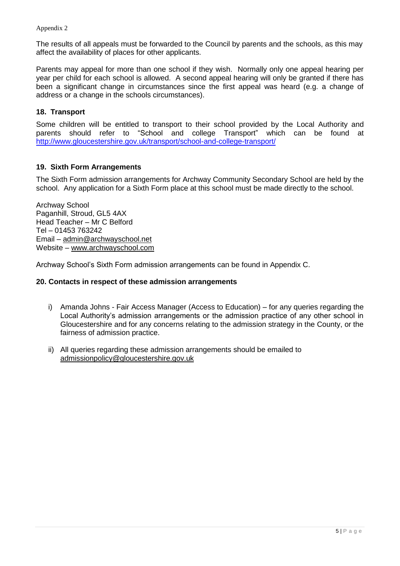Appendix 2

The results of all appeals must be forwarded to the Council by parents and the schools, as this may affect the availability of places for other applicants.

Parents may appeal for more than one school if they wish. Normally only one appeal hearing per year per child for each school is allowed. A second appeal hearing will only be granted if there has been a significant change in circumstances since the first appeal was heard (e.g. a change of address or a change in the schools circumstances).

## **18. Transport**

Some children will be entitled to transport to their school provided by the Local Authority and parents should refer to "School and college Transport" which can be found at <http://www.gloucestershire.gov.uk/transport/school-and-college-transport/>

## **19. Sixth Form Arrangements**

The Sixth Form admission arrangements for Archway Community Secondary School are held by the school. Any application for a Sixth Form place at this school must be made directly to the school.

Archway School Paganhill, Stroud, GL5 4AX Head Teacher – Mr C Belford Tel – 01453 763242 Email – admin@archwayschool.net Website – www.archwayschool.com

Archway School's Sixth Form admission arrangements can be found in Appendix C.

### **20. Contacts in respect of these admission arrangements**

- i) Amanda Johns Fair Access Manager (Access to Education) for any queries regarding the Local Authority's admission arrangements or the admission practice of any other school in Gloucestershire and for any concerns relating to the admission strategy in the County, or the fairness of admission practice.
- ii) All queries regarding these admission arrangements should be emailed to [admissionpolicy@gloucestershire.gov.uk](mailto:admissionpolicy@gloucestershire.gov.uk)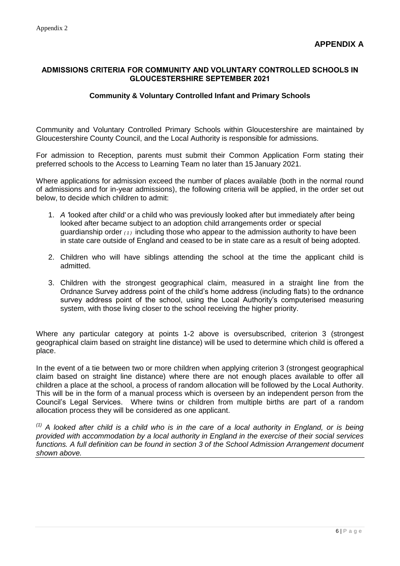## **ADMISSIONS CRITERIA FOR COMMUNITY AND VOLUNTARY CONTROLLED SCHOOLS IN GLOUCESTERSHIRE SEPTEMBER 2021**

### **Community & Voluntary Controlled Infant and Primary Schools**

Community and Voluntary Controlled Primary Schools within Gloucestershire are maintained by Gloucestershire County Council, and the Local Authority is responsible for admissions.

For admission to Reception, parents must submit their Common Application Form stating their preferred schools to the Access to Learning Team no later than 15 January 2021.

Where applications for admission exceed the number of places available (both in the normal round of admissions and for in-year admissions), the following criteria will be applied, in the order set out below, to decide which children to admit:

- 1. *A '*looked after child' or a child who was previously looked after but immediately after being looked after became subject to an adoption*,* child arrangements order or special guardianship order *( 1 )* including those who appear to the admission authority to have been in state care outside of England and ceased to be in state care as a result of being adopted.
- 2. Children who will have siblings attending the school at the time the applicant child is admitted.
- 3. Children with the strongest geographical claim, measured in a straight line from the Ordnance Survey address point of the child's home address (including flats) to the ordnance survey address point of the school, using the Local Authority's computerised measuring system, with those living closer to the school receiving the higher priority.

Where any particular category at points 1-2 above is oversubscribed, criterion 3 (strongest geographical claim based on straight line distance) will be used to determine which child is offered a place.

In the event of a tie between two or more children when applying criterion 3 (strongest geographical claim based on straight line distance) where there are not enough places available to offer all children a place at the school, a process of random allocation will be followed by the Local Authority. This will be in the form of a manual process which is overseen by an independent person from the Council's Legal Services. Where twins or children from multiple births are part of a random allocation process they will be considered as one applicant.

*(1) A looked after child is a child who is in the care of a local authority in England, or is being provided with accommodation by a local authority in England in the exercise of their social services functions. A full definition can be found in section 3 of the School Admission Arrangement document shown above.*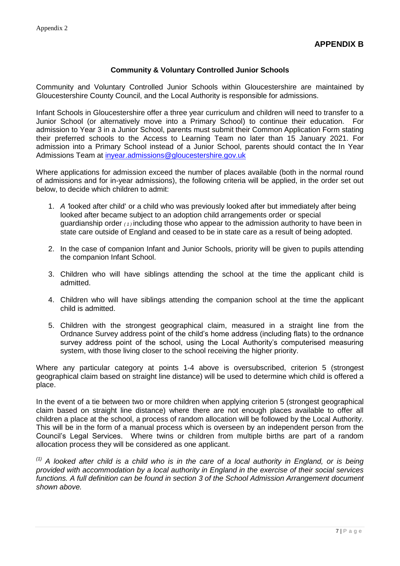## **Community & Voluntary Controlled Junior Schools**

Community and Voluntary Controlled Junior Schools within Gloucestershire are maintained by Gloucestershire County Council, and the Local Authority is responsible for admissions.

Infant Schools in Gloucestershire offer a three year curriculum and children will need to transfer to a Junior School (or alternatively move into a Primary School) to continue their education. For admission to Year 3 in a Junior School, parents must submit their Common Application Form stating their preferred schools to the Access to Learning Team no later than 15 January 2021. For admission into a Primary School instead of a Junior School, parents should contact the In Year Admissions Team at [inyear.admissions@gloucestershire.gov.uk](mailto:inyear.admissions@gloucestershire.gov.uk)

Where applications for admission exceed the number of places available (both in the normal round of admissions and for in-year admissions), the following criteria will be applied, in the order set out below, to decide which children to admit:

- 1. *A '*looked after child' or a child who was previously looked after but immediately after being looked after became subject to an adoption child arrangements order or special guardianship order *( 1 )* including those who appear to the admission authority to have been in state care outside of England and ceased to be in state care as a result of being adopted.
- 2. In the case of companion Infant and Junior Schools, priority will be given to pupils attending the companion Infant School.
- 3. Children who will have siblings attending the school at the time the applicant child is admitted.
- 4. Children who will have siblings attending the companion school at the time the applicant child is admitted.
- 5. Children with the strongest geographical claim, measured in a straight line from the Ordnance Survey address point of the child's home address (including flats) to the ordnance survey address point of the school, using the Local Authority's computerised measuring system, with those living closer to the school receiving the higher priority.

Where any particular category at points 1-4 above is oversubscribed, criterion 5 (strongest geographical claim based on straight line distance) will be used to determine which child is offered a place.

In the event of a tie between two or more children when applying criterion 5 (strongest geographical claim based on straight line distance) where there are not enough places available to offer all children a place at the school, a process of random allocation will be followed by the Local Authority. This will be in the form of a manual process which is overseen by an independent person from the Council's Legal Services. Where twins or children from multiple births are part of a random allocation process they will be considered as one applicant.

*(1) A looked after child is a child who is in the care of a local authority in England, or is being provided with accommodation by a local authority in England in the exercise of their social services functions. A full definition can be found in section 3 of the School Admission Arrangement document shown above.*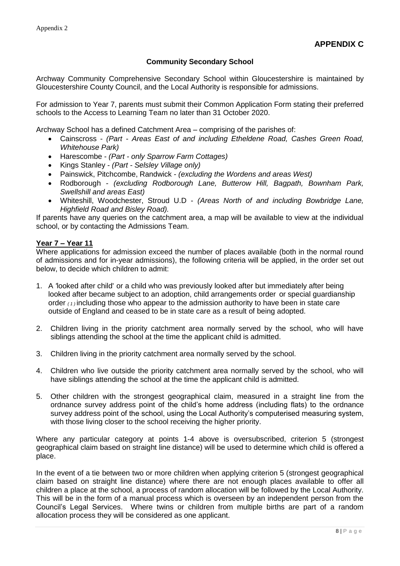## **Community Secondary School**

Archway Community Comprehensive Secondary School within Gloucestershire is maintained by Gloucestershire County Council, and the Local Authority is responsible for admissions.

For admission to Year 7, parents must submit their Common Application Form stating their preferred schools to the Access to Learning Team no later than 31 October 2020.

Archway School has a defined Catchment Area – comprising of the parishes of:

- Cainscross *(Part - Areas East of and including Etheldene Road, Cashes Green Road, Whitehouse Park)*
- Harescombe *(Part - only Sparrow Farm Cottages)*
- Kings Stanley *(Part - Selsley Village only)*
- Painswick, Pitchcombe, Randwick *(excluding the Wordens and areas West)*
- Rodborough *(excluding Rodborough Lane, Butterow Hill, Bagpath, Bownham Park, Swellshill and areas East)*
- Whiteshill, Woodchester, Stroud U.D *(Areas North of and including Bowbridge Lane, Highfield Road and Bisley Road).*

If parents have any queries on the catchment area, a map will be available to view at the individual school, or by contacting the Admissions Team.

#### **Year 7 – Year 11**

Where applications for admission exceed the number of places available (both in the normal round of admissions and for in-year admissions), the following criteria will be applied, in the order set out below, to decide which children to admit:

- 1. A *'*looked after child' or a child who was previously looked after but immediately after being looked after became subject to an adoption, child arrangements order or special guardianship order *( 1 )* including those who appear to the admission authority to have been in state care outside of England and ceased to be in state care as a result of being adopted.
- 2. Children living in the priority catchment area normally served by the school, who will have siblings attending the school at the time the applicant child is admitted.
- 3. Children living in the priority catchment area normally served by the school.
- 4. Children who live outside the priority catchment area normally served by the school, who will have siblings attending the school at the time the applicant child is admitted.
- 5. Other children with the strongest geographical claim, measured in a straight line from the ordnance survey address point of the child's home address (including flats) to the ordnance survey address point of the school, using the Local Authority's computerised measuring system, with those living closer to the school receiving the higher priority.

Where any particular category at points 1-4 above is oversubscribed, criterion 5 (strongest geographical claim based on straight line distance) will be used to determine which child is offered a place.

In the event of a tie between two or more children when applying criterion 5 (strongest geographical claim based on straight line distance) where there are not enough places available to offer all children a place at the school, a process of random allocation will be followed by the Local Authority. This will be in the form of a manual process which is overseen by an independent person from the Council's Legal Services. Where twins or children from multiple births are part of a random allocation process they will be considered as one applicant.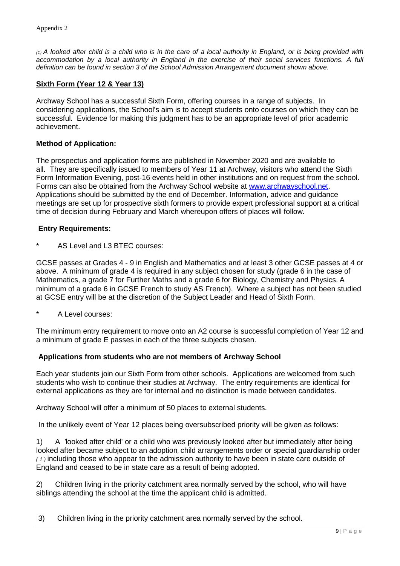*(1) A looked after child is a child who is in the care of a local authority in England, or is being provided with accommodation by a local authority in England in the exercise of their social services functions. A full definition can be found in section 3 of the School Admission Arrangement document shown above.*

## **Sixth Form (Year 12 & Year 13)**

Archway School has a successful Sixth Form, offering courses in a range of subjects. In considering applications, the School's aim is to accept students onto courses on which they can be successful. Evidence for making this judgment has to be an appropriate level of prior academic achievement.

## **Method of Application:**

The prospectus and application forms are published in November 2020 and are available to all. They are specifically issued to members of Year 11 at Archway, visitors who attend the Sixth Form Information Evening, post-16 events held in other institutions and on request from the school. Forms can also be obtained from the Archway School website at [www.archwayschool.net.](http://www.archwayschool.net/) Applications should be submitted by the end of December. Information, advice and guidance meetings are set up for prospective sixth formers to provide expert professional support at a critical time of decision during February and March whereupon offers of places will follow.

#### **Entry Requirements:**

AS Level and L3 BTEC courses:

GCSE passes at Grades 4 - 9 in English and Mathematics and at least 3 other GCSE passes at 4 or above. A minimum of grade 4 is required in any subject chosen for study (grade 6 in the case of Mathematics, a grade 7 for Further Maths and a grade 6 for Biology, Chemistry and Physics. A minimum of a grade 6 in GCSE French to study AS French). Where a subject has not been studied at GCSE entry will be at the discretion of the Subject Leader and Head of Sixth Form.

A Level courses:

The minimum entry requirement to move onto an A2 course is successful completion of Year 12 and a minimum of grade E passes in each of the three subjects chosen.

## **Applications from students who are not members of Archway School**

Each year students join our Sixth Form from other schools. Applications are welcomed from such students who wish to continue their studies at Archway. The entry requirements are identical for external applications as they are for internal and no distinction is made between candidates.

Archway School will offer a minimum of 50 places to external students.

In the unlikely event of Year 12 places being oversubscribed priority will be given as follows:

1) A *'*looked after child' or a child who was previously looked after but immediately after being looked after became subject to an adoption*,* child arrangements order or special guardianship order *( 1 )* including those who appear to the admission authority to have been in state care outside of England and ceased to be in state care as a result of being adopted.

2) Children living in the priority catchment area normally served by the school, who will have siblings attending the school at the time the applicant child is admitted.

3) Children living in the priority catchment area normally served by the school.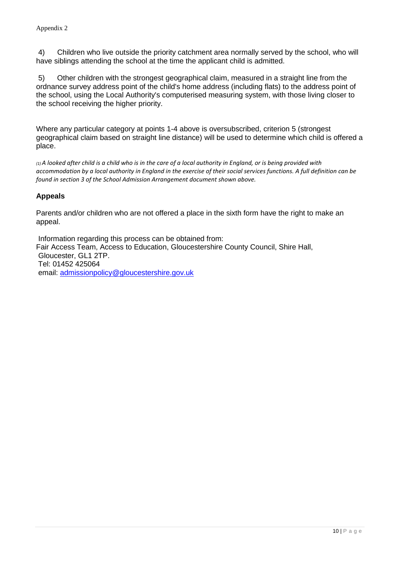4) Children who live outside the priority catchment area normally served by the school, who will have siblings attending the school at the time the applicant child is admitted.

5) Other children with the strongest geographical claim, measured in a straight line from the ordnance survey address point of the child's home address (including flats) to the address point of the school, using the Local Authority's computerised measuring system, with those living closer to the school receiving the higher priority.

Where any particular category at points 1-4 above is oversubscribed, criterion 5 (strongest geographical claim based on straight line distance) will be used to determine which child is offered a place.

*(1) A looked after child is a child who is in the care of a local authority in England, or is being provided with accommodation by a local authority in England in the exercise of their social services functions. A full definition can be found in section 3 of the School Admission Arrangement document shown above.*

## **Appeals**

Parents and/or children who are not offered a place in the sixth form have the right to make an appeal.

Information regarding this process can be obtained from: Fair Access Team, Access to Education, Gloucestershire County Council, Shire Hall, Gloucester, GL1 2TP. Tel: 01452 425064 email: [admissionpolicy@gloucestershire.gov.uk](mailto:admissionpolicy@gloucestershire.gov.uk)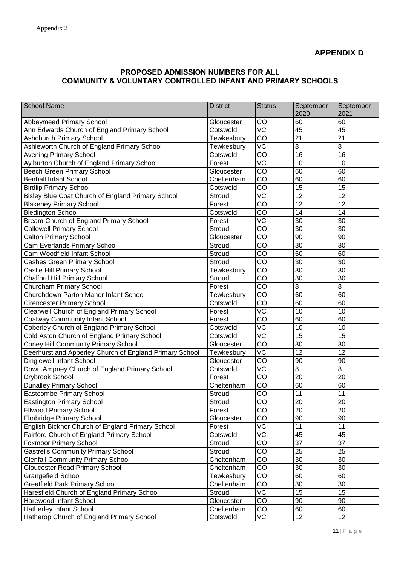# **PROPOSED ADMISSION NUMBERS FOR ALL COMMUNITY & VOLUNTARY CONTROLLED INFANT AND PRIMARY SCHOOLS**

| <b>School Name</b>                                      | <b>District</b> | <b>Status</b>          | September<br>2020 | September<br>2021 |
|---------------------------------------------------------|-----------------|------------------------|-------------------|-------------------|
| Abbeymead Primary School                                | Gloucester      | CO                     | 60                | 60                |
| Ann Edwards Church of England Primary School            | Cotswold        | $\overline{VC}$        | 45                | 45                |
| <b>Ashchurch Primary School</b>                         | Tewkesbury      | CO                     | $\overline{21}$   | $\overline{21}$   |
| Ashleworth Church of England Primary School             | Tewkesbury      | VC                     | 8                 | 8                 |
| <b>Avening Primary School</b>                           | Cotswold        | CO                     | 16                | 16                |
| Aylburton Church of England Primary School              | Forest          | $\overline{\text{VC}}$ | 10                | 10                |
| <b>Beech Green Primary School</b>                       | Gloucester      | CO                     | 60                | 60                |
| <b>Benhall Infant School</b>                            | Cheltenham      | CO                     | 60                | 60                |
| <b>Birdlip Primary School</b>                           | Cotswold        | CO                     | $\overline{15}$   | $\overline{15}$   |
| Bisley Blue Coat Church of England Primary School       | <b>Stroud</b>   | VC                     | 12                | $\overline{12}$   |
| <b>Blakeney Primary School</b>                          | Forest          | CO                     | 12                | 12                |
| <b>Bledington School</b>                                | Cotswold        | $\overline{CO}$        | 14                | 14                |
| Bream Church of England Primary School                  | Forest          | VC                     | 30                | 30                |
| <b>Callowell Primary School</b>                         | Stroud          | CO                     | 30                | 30                |
| <b>Calton Primary School</b>                            | Gloucester      | CO                     | 90                | $\overline{90}$   |
| Cam Everlands Primary School                            | <b>Stroud</b>   | CO                     | 30                | 30                |
| Cam Woodfield Infant School                             | Stroud          | CO                     | 60                | 60                |
| <b>Cashes Green Primary School</b>                      | <b>Stroud</b>   | CO                     | 30                | 30                |
| Castle Hill Primary School                              | Tewkesbury      | $\overline{CO}$        | $\overline{30}$   | $\overline{30}$   |
| <b>Chalford Hill Primary School</b>                     | <b>Stroud</b>   | CO                     | 30                | 30                |
| Churcham Primary School                                 | Forest          | $\overline{CO}$        | $\overline{8}$    | $\overline{8}$    |
| Churchdown Parton Manor Infant School                   | Tewkesbury      | $\overline{CO}$        | 60                | 60                |
| <b>Cirencester Primary School</b>                       | Cotswold        | CO                     | 60                | 60                |
| Clearwell Church of England Primary School              | Forest          | $\overline{VC}$        | $\overline{10}$   | 10                |
| <b>Coalway Community Infant School</b>                  | Forest          | CO                     | 60                | 60                |
| Coberley Church of England Primary School               | Cotswold        | VC                     | 10                | 10                |
| Cold Aston Church of England Primary School             | Cotswold        | $\overline{\text{VC}}$ | $\overline{15}$   | $\overline{15}$   |
| <b>Coney Hill Community Primary School</b>              | Gloucester      | CO                     | 30                | 30                |
| Deerhurst and Apperley Church of England Primary School | Tewkesbury      | VC                     | 12                | 12                |
| Dinglewell Infant School                                | Gloucester      | CO                     | 90                | 90                |
| Down Ampney Church of England Primary School            | Cotswold        | VC                     | 8                 | 8                 |
| Drybrook School                                         | Forest          | CO                     | 20                | 20                |
| <b>Dunalley Primary School</b>                          | Cheltenham      | CO                     | 60                | 60                |
| Eastcombe Primary School                                | Stroud          | CO                     | 11                | 11                |
| <b>Eastington Primary School</b>                        | Stroud          | CO                     | 20                | $20\,$            |
| <b>Ellwood Primary School</b>                           | Forest          | CO                     | 20                | 20                |
| <b>Elmbridge Primary School</b>                         | Gloucester      | CO                     | 90                | 90                |
| English Bicknor Church of England Primary School        | Forest          | <b>VC</b>              | 11                | 11                |
| Fairford Church of England Primary School               | Cotswold        | VC                     | 45                | 45                |
| <b>Foxmoor Primary School</b>                           | Stroud          | CO                     | $\overline{37}$   | $\overline{37}$   |
| <b>Gastrells Community Primary School</b>               | <b>Stroud</b>   | CO                     | 25                | 25                |
| <b>Glenfall Community Primary School</b>                | Cheltenham      | CO                     | 30                | 30                |
| <b>Gloucester Road Primary School</b>                   | Cheltenham      | CO                     | 30                | 30                |
| <b>Grangefield School</b>                               | Tewkesbury      | CO                     | 60                | 60                |
| <b>Greatfield Park Primary School</b>                   | Cheltenham      | CO                     | $\overline{30}$   | $\overline{30}$   |
| Haresfield Church of England Primary School             | <b>Stroud</b>   | $\overline{VC}$        | $\overline{15}$   | $\overline{15}$   |
| Harewood Infant School                                  | Gloucester      | CO                     | 90                | 90                |
| Hatherley Infant School                                 | Cheltenham      | CO                     | 60                | 60                |
| Hatherop Church of England Primary School               | Cotswold        | VC                     | 12                | 12                |
|                                                         |                 |                        |                   |                   |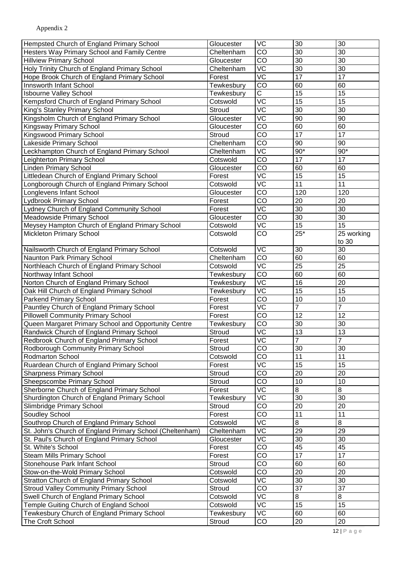| Hempsted Church of England Primary School                | Gloucester    | VC                     | 30              | 30              |
|----------------------------------------------------------|---------------|------------------------|-----------------|-----------------|
| Hesters Way Primary School and Family Centre             | Cheltenham    | CO                     | 30              | 30              |
| <b>Hillview Primary School</b>                           | Gloucester    | CO                     | 30              | 30              |
| Holy Trinity Church of England Primary School            | Cheltenham    | VC                     | 30              | 30              |
| Hope Brook Church of England Primary School              | Forest        | VC                     | 17              | 17              |
| Innsworth Infant School                                  | Tewkesbury    | CO                     | 60              | 60              |
| <b>Isbourne Valley School</b>                            | Tewkesbury    | C                      | 15              | 15              |
| Kempsford Church of England Primary School               | Cotswold      | VC                     | 15              | 15              |
| King's Stanley Primary School                            | <b>Stroud</b> | VC                     | 30              | 30              |
| Kingsholm Church of England Primary School               | Gloucester    | $\overline{\text{VC}}$ | 90              | 90              |
| Kingsway Primary School                                  | Gloucester    | CO                     | 60              | 60              |
| Kingswood Primary School                                 | Stroud        | CO                     | 17              | 17              |
| Lakeside Primary School                                  | Cheltenham    | CO                     | 90              | 90              |
| Leckhampton Church of England Primary School             | Cheltenham    | VC                     | $90*$           | $90*$           |
| Leighterton Primary School                               | Cotswold      | CO                     | 17              | 17              |
| <b>Linden Primary School</b>                             | Gloucester    | CO                     | 60              | 60              |
| Littledean Church of England Primary School              | Forest        | $\overline{\text{VC}}$ | 15              | 15              |
| Longborough Church of England Primary School             | Cotswold      | $\overline{\text{VC}}$ | $\overline{11}$ | $\overline{11}$ |
| Longlevens Infant School                                 | Gloucester    | CO                     | 120             | 120             |
| Lydbrook Primary School                                  | Forest        | $\overline{CO}$        | 20              | 20              |
| Lydney Church of England Community School                | Forest        | $\overline{\text{VC}}$ | 30              | 30              |
| Meadowside Primary School                                | Gloucester    | CO                     | 30              | 30              |
| Meysey Hampton Church of England Primary School          | Cotswold      | $\overline{\text{VC}}$ | 15              | 15              |
| Mickleton Primary School                                 | Cotswold      | CO                     | $25*$           | 25 working      |
|                                                          |               |                        |                 | to 30           |
| Nailsworth Church of England Primary School              | Cotswold      | VC                     | 30              | 30              |
| Naunton Park Primary School                              | Cheltenham    | CO                     | 60              | 60              |
| Northleach Church of England Primary School              | Cotswold      | VC                     | 25              | 25              |
| Northway Infant School                                   | Tewkesbury    | CO                     | 60              | 60              |
| Norton Church of England Primary School                  | Tewkesbury    | VC                     | 16              | 20              |
| Oak Hill Church of England Primary School                | Tewkesbury    | VC                     | 15              | 15              |
| <b>Parkend Primary School</b>                            | Forest        | CO                     | 10              | 10              |
| Pauntley Church of England Primary School                | Forest        | VC                     | $\overline{7}$  | $\overline{7}$  |
| <b>Pillowell Community Primary School</b>                | Forest        | CO                     | 12              | 12              |
| Queen Margaret Primary School and Opportunity Centre     | Tewkesbury    | CO                     | 30              | 30              |
| Randwick Church of England Primary School                | Stroud        | VC                     | 13              | 13              |
| Redbrook Church of England Primary School                | Forest        | $\overline{VC}$        | $\overline{7}$  | $\overline{7}$  |
| Rodborough Community Primary School                      | Stroud        | CO                     | 30              | 30              |
| Rodmarton School                                         | Cotswold      | CO                     | 11              | 11              |
| Ruardean Church of England Primary School                | Forest        | VC                     | 15              | 15              |
| <b>Sharpness Primary School</b>                          | Stroud        | $\overline{CO}$        | 20              | 20              |
| Sheepscombe Primary School                               | Stroud        | CO                     | 10              | 10              |
| Sherborne Church of England Primary School               | Forest        | VC                     | 8               | 8               |
| Shurdington Church of England Primary School             | Tewkesbury    | $\overline{\text{VC}}$ | 30              | 30              |
| Slimbridge Primary School                                | Stroud        | CO                     | $\overline{20}$ | $\overline{20}$ |
| Soudley School                                           | Forest        | CO                     | 11              | 11              |
| Southrop Church of England Primary School                | Cotswold      | $\overline{\text{VC}}$ | 8               | 8               |
| St. John's Church of England Primary School (Cheltenham) | Cheltenham    | $\overline{\text{VC}}$ | 29              | 29              |
| St. Paul's Church of England Primary School              | Gloucester    | VC                     | 30              | 30              |
| St. White's School                                       | Forest        | CO                     | 45              | 45              |
| <b>Steam Mills Primary School</b>                        | Forest        | CO                     | $\overline{17}$ | $\overline{17}$ |
| Stonehouse Park Infant School                            | Stroud        | CO                     | 60              | 60              |
| Stow-on-the-Wold Primary School                          | Cotswold      | CO                     | 20              | 20              |
| Stratton Church of England Primary School                | Cotswold      | VC                     | 30              | 30              |
| <b>Stroud Valley Community Primary School</b>            | Stroud        | CO                     | 37              | 37              |
| Swell Church of England Primary School                   | Cotswold      | VC                     | 8               | 8               |
| Temple Guiting Church of England School                  | Cotswold      | VC                     | 15              | 15              |
| Tewkesbury Church of England Primary School              | Tewkesbury    | VC                     | 60              | 60              |
| The Croft School                                         | Stroud        | CO                     | 20              | 20              |
|                                                          |               |                        |                 |                 |